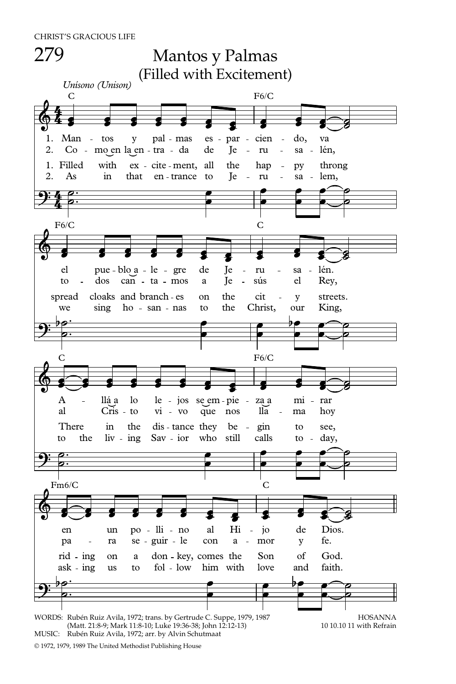CHRIST'S GRACIOUS LIFE



MUSIC: Rubén Ruiz Avila, 1972; arr. by Alvin Schutmaat

© 1972, 1979, 1989 The United Methodist Publishing House